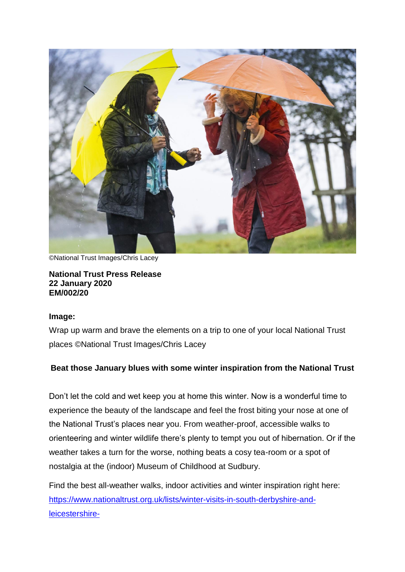

©National Trust Images/Chris Lacey

#### **National Trust Press Release 22 January 2020 EM/002/20**

#### **Image:**

Wrap up warm and brave the elements on a trip to one of your local National Trust places ©National Trust Images/Chris Lacey

# **Beat those January blues with some winter inspiration from the National Trust**

Don't let the cold and wet keep you at home this winter. Now is a wonderful time to experience the beauty of the landscape and feel the frost biting your nose at one of the National Trust's places near you. From weather-proof, accessible walks to orienteering and winter wildlife there's plenty to tempt you out of hibernation. Or if the weather takes a turn for the worse, nothing beats a cosy tea-room or a spot of nostalgia at the (indoor) Museum of Childhood at Sudbury.

Find the best all-weather walks, indoor activities and winter inspiration right here: [https://www.nationaltrust.org.uk/lists/winter-visits-in-south-derbyshire-and](https://www.nationaltrust.org.uk/lists/winter-visits-in-south-derbyshire-and-leicestershire-)[leicestershire-](https://www.nationaltrust.org.uk/lists/winter-visits-in-south-derbyshire-and-leicestershire-)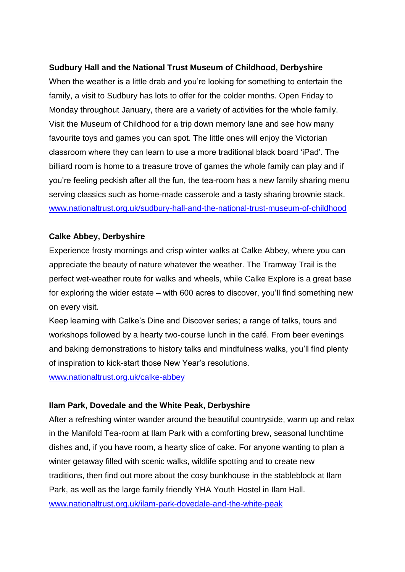## **Sudbury Hall and the National Trust Museum of Childhood, Derbyshire**

When the weather is a little drab and you're looking for something to entertain the family, a visit to Sudbury has lots to offer for the colder months. Open Friday to Monday throughout January, there are a variety of activities for the whole family. Visit the Museum of Childhood for a trip down memory lane and see how many favourite toys and games you can spot. The little ones will enjoy the Victorian classroom where they can learn to use a more traditional black board 'iPad'. The billiard room is home to a treasure trove of games the whole family can play and if you're feeling peckish after all the fun, the tea-room has a new family sharing menu serving classics such as home-made casserole and a tasty sharing brownie stack. [www.nationaltrust.org.uk/sudbury-hall-and-the-national-trust-museum-of-childhood](https://www.nationaltrust.org.uk/sudbury-hall-and-the-national-trust-museum-of-childhood)

## **Calke Abbey, Derbyshire**

Experience frosty mornings and crisp winter walks at Calke Abbey, where you can appreciate the beauty of nature whatever the weather. The Tramway Trail is the perfect wet-weather route for walks and wheels, while Calke Explore is a great base for exploring the wider estate – with 600 acres to discover, you'll find something new on every visit.

Keep learning with Calke's Dine and Discover series; a range of talks, tours and workshops followed by a hearty two-course lunch in the café. From beer evenings and baking demonstrations to history talks and mindfulness walks, you'll find plenty of inspiration to kick-start those New Year's resolutions.

[www.nationaltrust.org.uk/calke-abbey](https://www.nationaltrust.org.uk/calke-abbey)

## **Ilam Park, Dovedale and the White Peak, Derbyshire**

After a refreshing winter wander around the beautiful countryside, warm up and relax in the Manifold Tea-room at Ilam Park with a comforting brew, seasonal lunchtime dishes and, if you have room, a hearty slice of cake. For anyone wanting to plan a winter getaway filled with scenic walks, wildlife spotting and to create new traditions, then find out more about the cosy bunkhouse in the stableblock at Ilam Park, as well as the large family friendly YHA Youth Hostel in Ilam Hall. [www.nationaltrust.org.uk/ilam-park-dovedale-and-the-white-peak](https://www.nationaltrust.org.uk/ilam-park-dovedale-and-the-white-peak)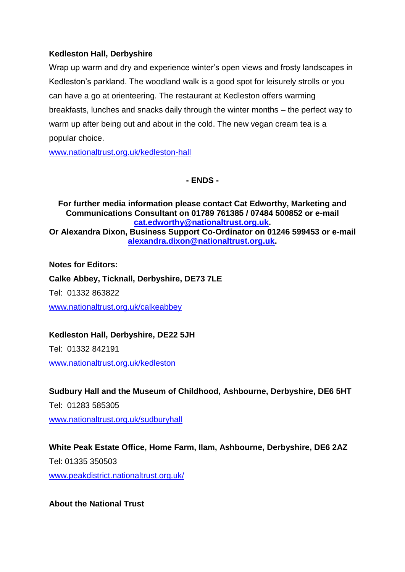## **Kedleston Hall, Derbyshire**

Wrap up warm and dry and experience winter's open views and frosty landscapes in Kedleston's parkland. The woodland walk is a good spot for leisurely strolls or you can have a go at orienteering. The restaurant at Kedleston offers warming breakfasts, lunches and snacks daily through the winter months – the perfect way to warm up after being out and about in the cold. The new vegan cream tea is a popular choice.

[www.nationaltrust.org.uk/kedleston-hall](https://www.nationaltrust.org.uk/kedleston-hall)

## **- ENDS -**

**For further media information please contact Cat Edworthy, Marketing and Communications Consultant on 01789 761385 / 07484 500852 or e-mail [cat.edworthy@nationaltrust.org.uk.](mailto:cat.edworthy@nationaltrust.org.uk) Or Alexandra Dixon, Business Support Co-Ordinator on 01246 599453 or e-mail [alexandra.dixon@nationaltrust.org.uk.](mailto:alexandra.dixon@nationaltrust.org.uk)** 

**Notes for Editors:**

**Calke Abbey, Ticknall, Derbyshire, DE73 7LE** Tel: 01332 863822 [www.nationaltrust.org.uk/calkeabbey](http://www.nationaltrust.org.uk/calkeabbey)

## **Kedleston Hall, Derbyshire, DE22 5JH**

Tel: 01332 842191

[www.nationaltrust.org.uk/kedleston](http://www.nationaltrust.org.uk/kedleston)

**Sudbury Hall and the Museum of Childhood, Ashbourne, Derbyshire, DE6 5HT**

Tel: 01283 585305

[www.nationaltrust.org.uk/sudburyhall](http://www.nationaltrust.org.uk/sudburyhall)

**White Peak Estate Office, Home Farm, Ilam, Ashbourne, Derbyshire, DE6 2AZ**

Tel: 01335 350503 [www.peakdistrict.nationaltrust.org.uk/](http://www.peakdistrict.nationaltrust.org.uk/)

**About the National Trust**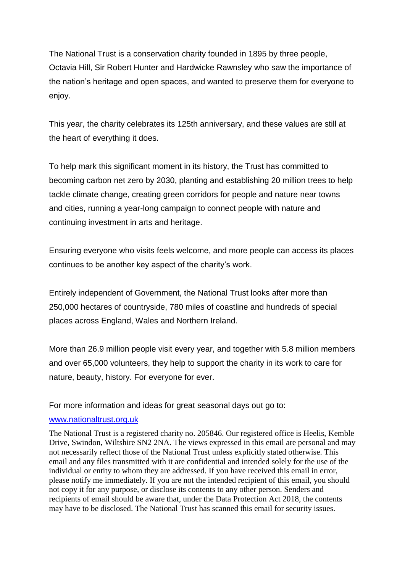The National Trust is a conservation charity founded in 1895 by three people, Octavia Hill, Sir Robert Hunter and Hardwicke Rawnsley who saw the importance of the nation's heritage and open spaces, and wanted to preserve them for everyone to enjoy.

This year, the charity celebrates its 125th anniversary, and these values are still at the heart of everything it does.

To help mark this significant moment in its history, the Trust has committed to becoming carbon net zero by 2030, planting and establishing 20 million trees to help tackle climate change, creating green corridors for people and nature near towns and cities, running a year-long campaign to connect people with nature and continuing investment in arts and heritage.

Ensuring everyone who visits feels welcome, and more people can access its places continues to be another key aspect of the charity's work.

Entirely independent of Government, the National Trust looks after more than 250,000 hectares of countryside, 780 miles of coastline and hundreds of special places across England, Wales and Northern Ireland.

More than 26.9 million people visit every year, and together with 5.8 million members and over 65,000 volunteers, they help to support the charity in its work to care for nature, beauty, history. For everyone for ever.

For more information and ideas for great seasonal days out go to:

#### [www.nationaltrust.org.uk](http://www.nationaltrust.org.uk/)

The National Trust is a registered charity no. 205846. Our registered office is Heelis, Kemble Drive, Swindon, Wiltshire SN2 2NA. The views expressed in this email are personal and may not necessarily reflect those of the National Trust unless explicitly stated otherwise. This email and any files transmitted with it are confidential and intended solely for the use of the individual or entity to whom they are addressed. If you have received this email in error, please notify me immediately. If you are not the intended recipient of this email, you should not copy it for any purpose, or disclose its contents to any other person. Senders and recipients of email should be aware that, under the Data Protection Act 2018, the contents may have to be disclosed. The National Trust has scanned this email for security issues.